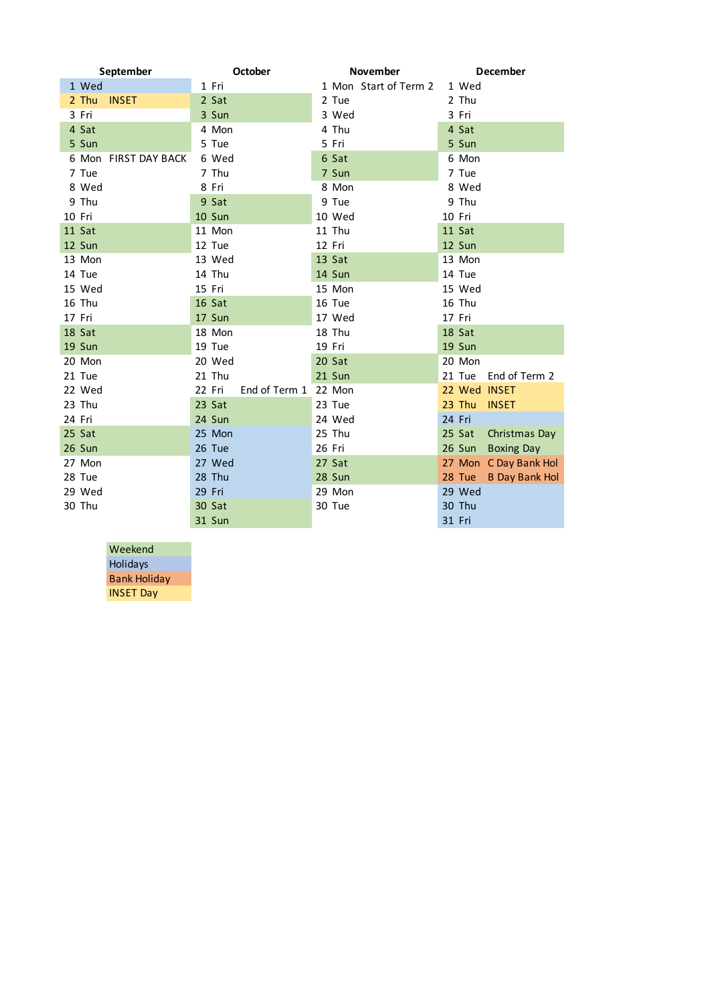| September             | October                 | November              | <b>December</b>                 |
|-----------------------|-------------------------|-----------------------|---------------------------------|
| 1 Wed                 | 1 Fri                   | 1 Mon Start of Term 2 | 1 Wed                           |
| 2 Thu<br><b>INSET</b> | 2 Sat                   | 2 Tue                 | 2 Thu                           |
| 3 Fri                 | 3 Sun                   | 3 Wed                 | 3 Fri                           |
| 4 Sat                 | 4 Mon                   | 4 Thu                 | 4 Sat                           |
| 5 Sun                 | 5 Tue                   | 5 Fri                 | 5 Sun                           |
| 6 Mon FIRST DAY BACK  | 6 Wed                   | 6 Sat                 | 6 Mon                           |
| 7 Tue                 | 7 Thu                   | 7 Sun                 | 7 Tue                           |
| 8 Wed                 | 8 Fri                   | 8 Mon                 | 8 Wed                           |
| 9 Thu                 | 9 Sat                   | 9 Tue                 | 9 Thu                           |
| 10 Fri                | 10 Sun                  | 10 Wed                | 10 Fri                          |
| 11 Sat                | 11 Mon                  | 11 Thu                | 11 Sat                          |
| 12 Sun                | 12 Tue                  | 12 Fri                | 12 Sun                          |
| 13 Mon                | 13 Wed                  | 13 Sat                | 13 Mon                          |
| 14 Tue                | 14 Thu                  | 14 Sun                | 14 Tue                          |
| 15 Wed                | 15 Fri                  | 15 Mon                | 15 Wed                          |
| 16 Thu                | 16 Sat                  | 16 Tue                | 16 Thu                          |
| 17 Fri                | 17 Sun                  | 17 Wed                | 17 Fri                          |
| 18 Sat                | 18 Mon                  | 18 Thu                | 18 Sat                          |
| 19 Sun                | 19 Tue                  | 19 Fri                | 19 Sun                          |
| 20 Mon                | 20 Wed                  | 20 Sat                | 20 Mon                          |
| 21 Tue                | 21 Thu                  | 21 Sun                | End of Term 2<br>21 Tue         |
| 22 Wed                | End of Term 1<br>22 Fri | 22 Mon                | 22 Wed INSET                    |
| 23 Thu                | 23 Sat                  | 23 Tue                | 23 Thu<br><b>INSET</b>          |
| 24 Fri                | 24 Sun                  | 24 Wed                | 24 Fri                          |
| 25 Sat                | 25 Mon                  | 25 Thu                | 25 Sat<br>Christmas Day         |
| 26 Sun                | 26 Tue                  | 26 Fri                | 26 Sun<br><b>Boxing Day</b>     |
| 27 Mon                | 27 Wed                  | 27 Sat                | 27 Mon<br>C Day Bank Hol        |
| 28 Tue                | 28 Thu                  | 28 Sun                | 28 Tue<br><b>B Day Bank Hol</b> |
| 29 Wed                | 29 Fri                  | 29 Mon                | 29 Wed                          |
| 30 Thu                | 30 Sat                  | 30 Tue                | 30 Thu                          |
|                       | <b>31 Sun</b>           |                       | 31 Fri                          |

Weekend Holidays Bank Holiday INSET Day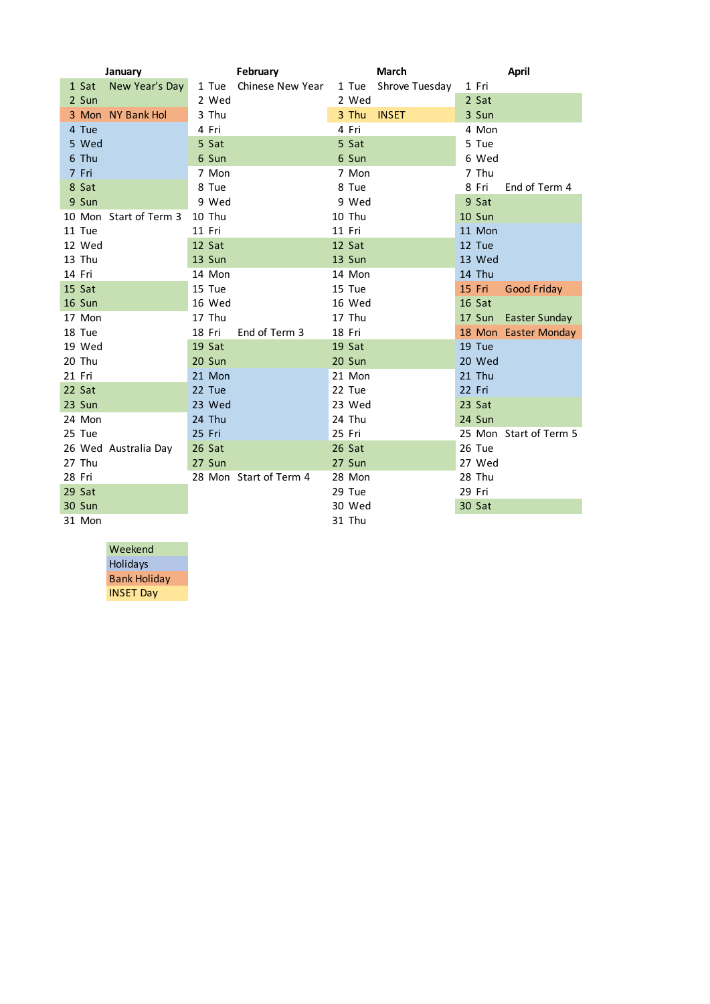|        | January                |        | February               |        | March          |        | <b>April</b>           |
|--------|------------------------|--------|------------------------|--------|----------------|--------|------------------------|
| 1 Sat  | New Year's Day         | 1 Tue  | Chinese New Year       | 1 Tue  | Shrove Tuesday | 1 Fri  |                        |
| 2 Sun  |                        | 2 Wed  |                        | 2 Wed  |                | 2 Sat  |                        |
|        | 3 Mon NY Bank Hol      | 3 Thu  |                        | 3 Thu  | <b>INSET</b>   | 3 Sun  |                        |
| 4 Tue  |                        | 4 Fri  |                        | 4 Fri  |                | 4 Mon  |                        |
| 5 Wed  |                        | 5 Sat  |                        | 5 Sat  |                | 5 Tue  |                        |
| 6 Thu  |                        | 6 Sun  |                        | 6 Sun  |                | 6 Wed  |                        |
| 7 Fri  |                        | 7 Mon  |                        | 7 Mon  |                | 7 Thu  |                        |
| 8 Sat  |                        | 8 Tue  |                        | 8 Tue  |                | 8 Fri  | End of Term 4          |
| 9 Sun  |                        | 9 Wed  |                        | 9 Wed  |                | 9 Sat  |                        |
|        | 10 Mon Start of Term 3 | 10 Thu |                        | 10 Thu |                | 10 Sun |                        |
| 11 Tue |                        | 11 Fri |                        | 11 Fri |                | 11 Mon |                        |
| 12 Wed |                        | 12 Sat |                        | 12 Sat |                | 12 Tue |                        |
| 13 Thu |                        | 13 Sun |                        | 13 Sun |                | 13 Wed |                        |
| 14 Fri |                        | 14 Mon |                        | 14 Mon |                | 14 Thu |                        |
| 15 Sat |                        | 15 Tue |                        | 15 Tue |                | 15 Fri | Good Friday            |
| 16 Sun |                        | 16 Wed |                        | 16 Wed |                | 16 Sat |                        |
| 17 Mon |                        | 17 Thu |                        | 17 Thu |                | 17 Sun | Easter Sunday          |
| 18 Tue |                        | 18 Fri | End of Term 3          | 18 Fri |                |        | 18 Mon Easter Monday   |
| 19 Wed |                        | 19 Sat |                        | 19 Sat |                | 19 Tue |                        |
| 20 Thu |                        | 20 Sun |                        | 20 Sun |                | 20 Wed |                        |
| 21 Fri |                        | 21 Mon |                        | 21 Mon |                | 21 Thu |                        |
| 22 Sat |                        | 22 Tue |                        | 22 Tue |                | 22 Fri |                        |
| 23 Sun |                        | 23 Wed |                        | 23 Wed |                | 23 Sat |                        |
| 24 Mon |                        | 24 Thu |                        | 24 Thu |                | 24 Sun |                        |
| 25 Tue |                        | 25 Fri |                        | 25 Fri |                |        | 25 Mon Start of Term 5 |
|        | 26 Wed Australia Day   | 26 Sat |                        | 26 Sat |                | 26 Tue |                        |
| 27 Thu |                        | 27 Sun |                        | 27 Sun |                | 27 Wed |                        |
| 28 Fri |                        |        | 28 Mon Start of Term 4 | 28 Mon |                | 28 Thu |                        |
| 29 Sat |                        |        |                        | 29 Tue |                | 29 Fri |                        |
| 30 Sun |                        |        |                        | 30 Wed |                | 30 Sat |                        |
| 31 Mon |                        |        |                        | 31 Thu |                |        |                        |

Weekend Holidays Bank Holiday INSET Day